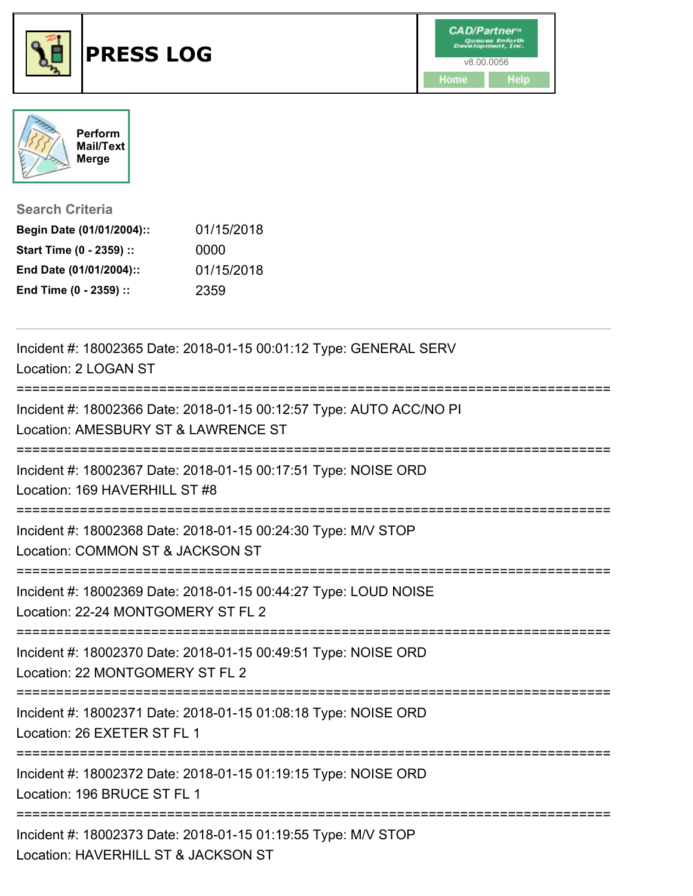



**Search Criteria**

| Begin Date (01/01/2004):: | 01/15/2018 |
|---------------------------|------------|
| Start Time (0 - 2359) ::  | 0000       |
| End Date (01/01/2004)::   | 01/15/2018 |
| End Time (0 - 2359) ::    | 2359       |

| Incident #: 18002365 Date: 2018-01-15 00:01:12 Type: GENERAL SERV<br>Location: 2 LOGAN ST                         |
|-------------------------------------------------------------------------------------------------------------------|
| Incident #: 18002366 Date: 2018-01-15 00:12:57 Type: AUTO ACC/NO PI<br>Location: AMESBURY ST & LAWRENCE ST        |
| Incident #: 18002367 Date: 2018-01-15 00:17:51 Type: NOISE ORD<br>Location: 169 HAVERHILL ST #8                   |
| Incident #: 18002368 Date: 2018-01-15 00:24:30 Type: M/V STOP<br>Location: COMMON ST & JACKSON ST                 |
| Incident #: 18002369 Date: 2018-01-15 00:44:27 Type: LOUD NOISE<br>Location: 22-24 MONTGOMERY ST FL 2             |
| Incident #: 18002370 Date: 2018-01-15 00:49:51 Type: NOISE ORD<br>Location: 22 MONTGOMERY ST FL 2                 |
| Incident #: 18002371 Date: 2018-01-15 01:08:18 Type: NOISE ORD<br>Location: 26 EXETER ST FL 1                     |
| Incident #: 18002372 Date: 2018-01-15 01:19:15 Type: NOISE ORD<br>Location: 196 BRUCE ST FL 1<br>---------------- |
| Incident #: 18002373 Date: 2018-01-15 01:19:55 Type: M/V STOP<br>Location: HAVERHILL ST & JACKSON ST              |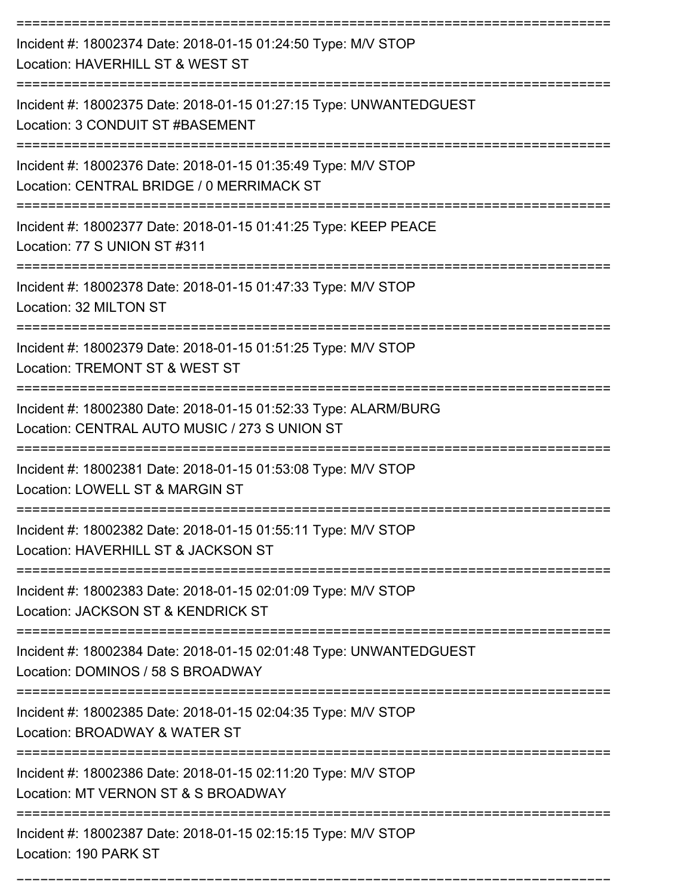| Incident #: 18002374 Date: 2018-01-15 01:24:50 Type: M/V STOP<br>Location: HAVERHILL ST & WEST ST                |
|------------------------------------------------------------------------------------------------------------------|
| Incident #: 18002375 Date: 2018-01-15 01:27:15 Type: UNWANTEDGUEST<br>Location: 3 CONDUIT ST #BASEMENT           |
| Incident #: 18002376 Date: 2018-01-15 01:35:49 Type: M/V STOP<br>Location: CENTRAL BRIDGE / 0 MERRIMACK ST       |
| Incident #: 18002377 Date: 2018-01-15 01:41:25 Type: KEEP PEACE<br>Location: 77 S UNION ST #311                  |
| Incident #: 18002378 Date: 2018-01-15 01:47:33 Type: M/V STOP<br>Location: 32 MILTON ST                          |
| Incident #: 18002379 Date: 2018-01-15 01:51:25 Type: M/V STOP<br>Location: TREMONT ST & WEST ST                  |
| Incident #: 18002380 Date: 2018-01-15 01:52:33 Type: ALARM/BURG<br>Location: CENTRAL AUTO MUSIC / 273 S UNION ST |
| Incident #: 18002381 Date: 2018-01-15 01:53:08 Type: M/V STOP<br>Location: LOWELL ST & MARGIN ST                 |
| Incident #: 18002382 Date: 2018-01-15 01:55:11 Type: M/V STOP<br>Location: HAVERHILL ST & JACKSON ST             |
| Incident #: 18002383 Date: 2018-01-15 02:01:09 Type: M/V STOP<br>Location: JACKSON ST & KENDRICK ST              |
| Incident #: 18002384 Date: 2018-01-15 02:01:48 Type: UNWANTEDGUEST<br>Location: DOMINOS / 58 S BROADWAY          |
| Incident #: 18002385 Date: 2018-01-15 02:04:35 Type: M/V STOP<br>Location: BROADWAY & WATER ST                   |
| Incident #: 18002386 Date: 2018-01-15 02:11:20 Type: M/V STOP<br>Location: MT VERNON ST & S BROADWAY             |
| Incident #: 18002387 Date: 2018-01-15 02:15:15 Type: M/V STOP<br>Location: 190 PARK ST                           |

===========================================================================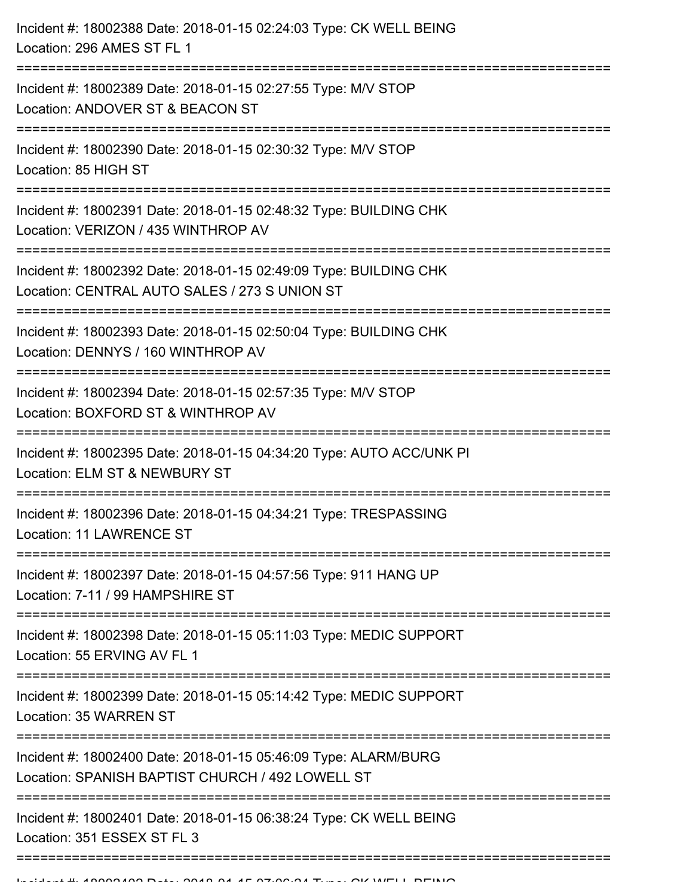| Incident #: 18002388 Date: 2018-01-15 02:24:03 Type: CK WELL BEING<br>Location: 296 AMES ST FL 1                    |
|---------------------------------------------------------------------------------------------------------------------|
| Incident #: 18002389 Date: 2018-01-15 02:27:55 Type: M/V STOP<br>Location: ANDOVER ST & BEACON ST                   |
| Incident #: 18002390 Date: 2018-01-15 02:30:32 Type: M/V STOP<br>Location: 85 HIGH ST                               |
| Incident #: 18002391 Date: 2018-01-15 02:48:32 Type: BUILDING CHK<br>Location: VERIZON / 435 WINTHROP AV            |
| Incident #: 18002392 Date: 2018-01-15 02:49:09 Type: BUILDING CHK<br>Location: CENTRAL AUTO SALES / 273 S UNION ST  |
| Incident #: 18002393 Date: 2018-01-15 02:50:04 Type: BUILDING CHK<br>Location: DENNYS / 160 WINTHROP AV             |
| Incident #: 18002394 Date: 2018-01-15 02:57:35 Type: M/V STOP<br>Location: BOXFORD ST & WINTHROP AV                 |
| Incident #: 18002395 Date: 2018-01-15 04:34:20 Type: AUTO ACC/UNK PI<br>Location: ELM ST & NEWBURY ST               |
| Incident #: 18002396 Date: 2018-01-15 04:34:21 Type: TRESPASSING<br>Location: 11 LAWRENCE ST                        |
| Incident #: 18002397 Date: 2018-01-15 04:57:56 Type: 911 HANG UP<br>Location: 7-11 / 99 HAMPSHIRE ST                |
| Incident #: 18002398 Date: 2018-01-15 05:11:03 Type: MEDIC SUPPORT<br>Location: 55 ERVING AV FL 1                   |
| Incident #: 18002399 Date: 2018-01-15 05:14:42 Type: MEDIC SUPPORT<br>Location: 35 WARREN ST                        |
| Incident #: 18002400 Date: 2018-01-15 05:46:09 Type: ALARM/BURG<br>Location: SPANISH BAPTIST CHURCH / 492 LOWELL ST |
| Incident #: 18002401 Date: 2018-01-15 06:38:24 Type: CK WELL BEING<br>Location: 351 ESSEX ST FL 3                   |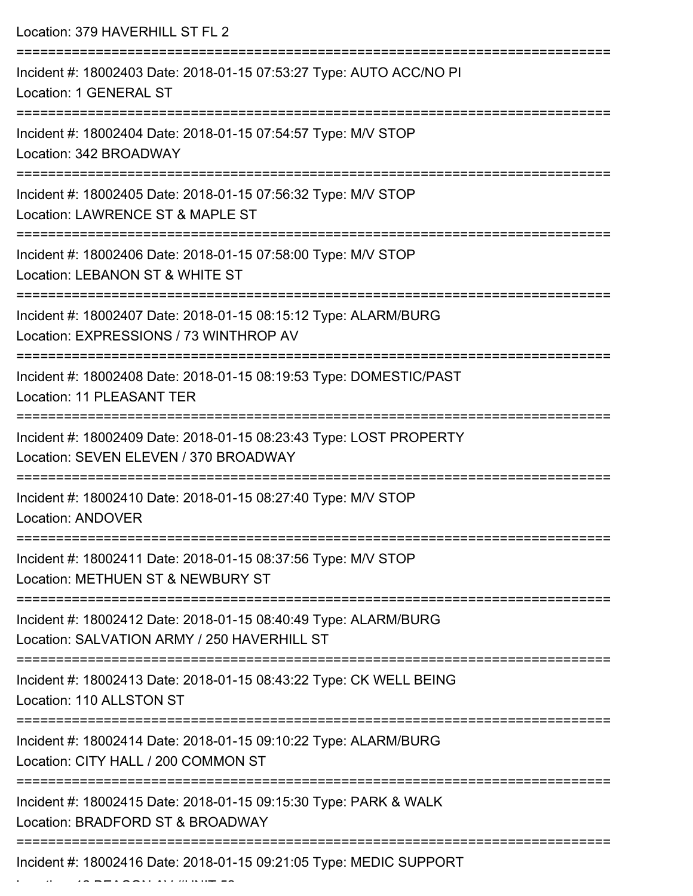| Location: 379 HAVERHILL ST FL 2                                                                                |
|----------------------------------------------------------------------------------------------------------------|
| Incident #: 18002403 Date: 2018-01-15 07:53:27 Type: AUTO ACC/NO PI<br>Location: 1 GENERAL ST                  |
| Incident #: 18002404 Date: 2018-01-15 07:54:57 Type: M/V STOP<br>Location: 342 BROADWAY                        |
| Incident #: 18002405 Date: 2018-01-15 07:56:32 Type: M/V STOP<br>Location: LAWRENCE ST & MAPLE ST              |
| Incident #: 18002406 Date: 2018-01-15 07:58:00 Type: M/V STOP<br>Location: LEBANON ST & WHITE ST               |
| Incident #: 18002407 Date: 2018-01-15 08:15:12 Type: ALARM/BURG<br>Location: EXPRESSIONS / 73 WINTHROP AV      |
| Incident #: 18002408 Date: 2018-01-15 08:19:53 Type: DOMESTIC/PAST<br><b>Location: 11 PLEASANT TER</b>         |
| Incident #: 18002409 Date: 2018-01-15 08:23:43 Type: LOST PROPERTY<br>Location: SEVEN ELEVEN / 370 BROADWAY    |
| -------------------<br>Incident #: 18002410 Date: 2018-01-15 08:27:40 Type: M/V STOP<br>Location: ANDOVER      |
| Incident #: 18002411 Date: 2018-01-15 08:37:56 Type: M/V STOP<br>Location: METHUEN ST & NEWBURY ST             |
| Incident #: 18002412 Date: 2018-01-15 08:40:49 Type: ALARM/BURG<br>Location: SALVATION ARMY / 250 HAVERHILL ST |
| Incident #: 18002413 Date: 2018-01-15 08:43:22 Type: CK WELL BEING<br>Location: 110 ALLSTON ST                 |
| Incident #: 18002414 Date: 2018-01-15 09:10:22 Type: ALARM/BURG<br>Location: CITY HALL / 200 COMMON ST         |
| Incident #: 18002415 Date: 2018-01-15 09:15:30 Type: PARK & WALK<br>Location: BRADFORD ST & BROADWAY           |
| Incident #: 18002416 Date: 2018-01-15 09:21:05 Type: MEDIC SUPPORT                                             |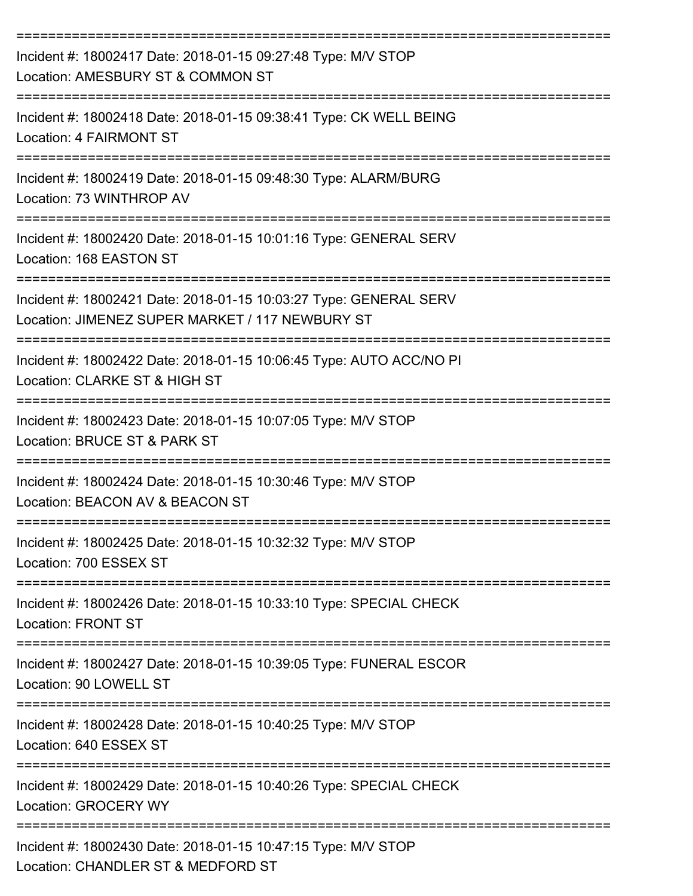| Incident #: 18002417 Date: 2018-01-15 09:27:48 Type: M/V STOP<br>Location: AMESBURY ST & COMMON ST                              |
|---------------------------------------------------------------------------------------------------------------------------------|
| Incident #: 18002418 Date: 2018-01-15 09:38:41 Type: CK WELL BEING<br>Location: 4 FAIRMONT ST                                   |
| Incident #: 18002419 Date: 2018-01-15 09:48:30 Type: ALARM/BURG<br>Location: 73 WINTHROP AV                                     |
| Incident #: 18002420 Date: 2018-01-15 10:01:16 Type: GENERAL SERV<br>Location: 168 EASTON ST                                    |
| Incident #: 18002421 Date: 2018-01-15 10:03:27 Type: GENERAL SERV<br>Location: JIMENEZ SUPER MARKET / 117 NEWBURY ST            |
| Incident #: 18002422 Date: 2018-01-15 10:06:45 Type: AUTO ACC/NO PI<br>Location: CLARKE ST & HIGH ST                            |
| Incident #: 18002423 Date: 2018-01-15 10:07:05 Type: M/V STOP<br>Location: BRUCE ST & PARK ST                                   |
| Incident #: 18002424 Date: 2018-01-15 10:30:46 Type: M/V STOP<br>Location: BEACON AV & BEACON ST                                |
| Incident #: 18002425 Date: 2018-01-15 10:32:32 Type: M/V STOP<br>Location: 700 ESSEX ST                                         |
| ----------------------------<br>Incident #: 18002426 Date: 2018-01-15 10:33:10 Type: SPECIAL CHECK<br><b>Location: FRONT ST</b> |
| Incident #: 18002427 Date: 2018-01-15 10:39:05 Type: FUNERAL ESCOR<br>Location: 90 LOWELL ST                                    |
| Incident #: 18002428 Date: 2018-01-15 10:40:25 Type: M/V STOP<br>Location: 640 ESSEX ST                                         |
| Incident #: 18002429 Date: 2018-01-15 10:40:26 Type: SPECIAL CHECK<br><b>Location: GROCERY WY</b>                               |
| Incident #: 18002430 Date: 2018-01-15 10:47:15 Type: M/V STOP<br>Location: CHANDLER ST & MEDFORD ST                             |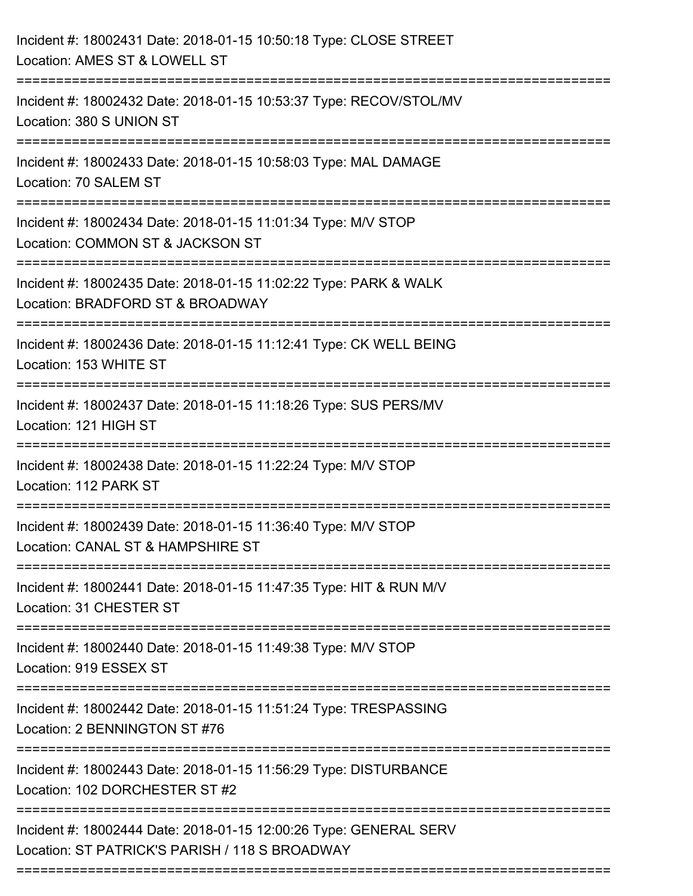| Incident #: 18002431 Date: 2018-01-15 10:50:18 Type: CLOSE STREET<br>Location: AMES ST & LOWELL ST                  |
|---------------------------------------------------------------------------------------------------------------------|
| Incident #: 18002432 Date: 2018-01-15 10:53:37 Type: RECOV/STOL/MV<br>Location: 380 S UNION ST                      |
| Incident #: 18002433 Date: 2018-01-15 10:58:03 Type: MAL DAMAGE<br>Location: 70 SALEM ST                            |
| Incident #: 18002434 Date: 2018-01-15 11:01:34 Type: M/V STOP<br>Location: COMMON ST & JACKSON ST                   |
| Incident #: 18002435 Date: 2018-01-15 11:02:22 Type: PARK & WALK<br>Location: BRADFORD ST & BROADWAY                |
| Incident #: 18002436 Date: 2018-01-15 11:12:41 Type: CK WELL BEING<br>Location: 153 WHITE ST                        |
| Incident #: 18002437 Date: 2018-01-15 11:18:26 Type: SUS PERS/MV<br>Location: 121 HIGH ST                           |
| Incident #: 18002438 Date: 2018-01-15 11:22:24 Type: M/V STOP<br>Location: 112 PARK ST                              |
| Incident #: 18002439 Date: 2018-01-15 11:36:40 Type: M/V STOP<br>Location: CANAL ST & HAMPSHIRE ST                  |
| Incident #: 18002441 Date: 2018-01-15 11:47:35 Type: HIT & RUN M/V<br>Location: 31 CHESTER ST                       |
| Incident #: 18002440 Date: 2018-01-15 11:49:38 Type: M/V STOP<br>Location: 919 ESSEX ST                             |
| Incident #: 18002442 Date: 2018-01-15 11:51:24 Type: TRESPASSING<br>Location: 2 BENNINGTON ST #76                   |
| Incident #: 18002443 Date: 2018-01-15 11:56:29 Type: DISTURBANCE<br>Location: 102 DORCHESTER ST #2                  |
| Incident #: 18002444 Date: 2018-01-15 12:00:26 Type: GENERAL SERV<br>Location: ST PATRICK'S PARISH / 118 S BROADWAY |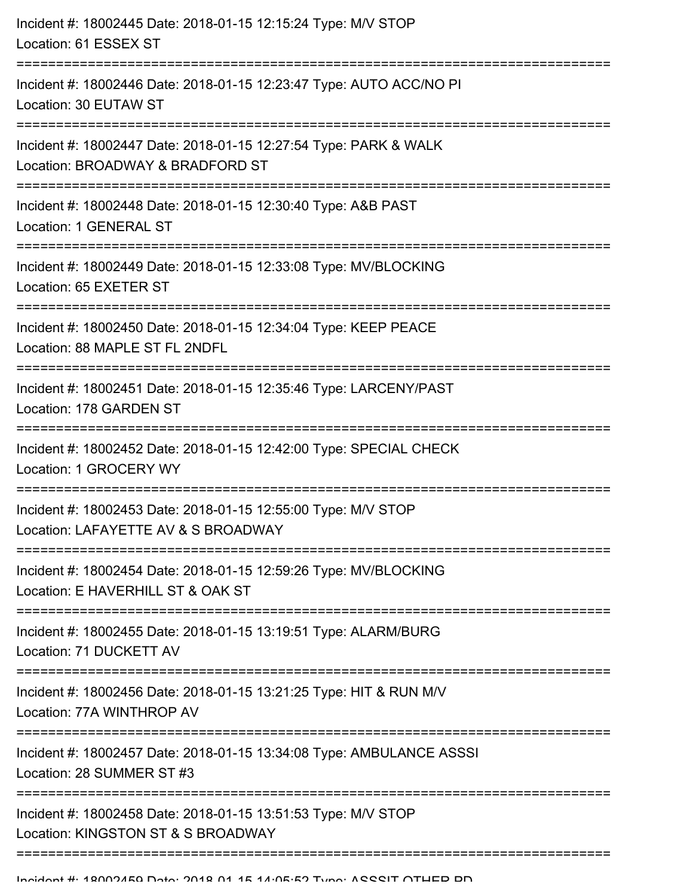| Incident #: 18002445 Date: 2018-01-15 12:15:24 Type: M/V STOP<br>Location: 61 ESSEX ST                |
|-------------------------------------------------------------------------------------------------------|
| Incident #: 18002446 Date: 2018-01-15 12:23:47 Type: AUTO ACC/NO PI<br>Location: 30 EUTAW ST          |
| Incident #: 18002447 Date: 2018-01-15 12:27:54 Type: PARK & WALK<br>Location: BROADWAY & BRADFORD ST  |
| Incident #: 18002448 Date: 2018-01-15 12:30:40 Type: A&B PAST<br>Location: 1 GENERAL ST               |
| Incident #: 18002449 Date: 2018-01-15 12:33:08 Type: MV/BLOCKING<br>Location: 65 EXETER ST            |
| Incident #: 18002450 Date: 2018-01-15 12:34:04 Type: KEEP PEACE<br>Location: 88 MAPLE ST FL 2NDFL     |
| Incident #: 18002451 Date: 2018-01-15 12:35:46 Type: LARCENY/PAST<br>Location: 178 GARDEN ST          |
| Incident #: 18002452 Date: 2018-01-15 12:42:00 Type: SPECIAL CHECK<br>Location: 1 GROCERY WY          |
| Incident #: 18002453 Date: 2018-01-15 12:55:00 Type: M/V STOP<br>Location: LAFAYETTE AV & S BROADWAY  |
| Incident #: 18002454 Date: 2018-01-15 12:59:26 Type: MV/BLOCKING<br>Location: E HAVERHILL ST & OAK ST |
| Incident #: 18002455 Date: 2018-01-15 13:19:51 Type: ALARM/BURG<br>Location: 71 DUCKETT AV            |
| Incident #: 18002456 Date: 2018-01-15 13:21:25 Type: HIT & RUN M/V<br>Location: 77A WINTHROP AV       |
| Incident #: 18002457 Date: 2018-01-15 13:34:08 Type: AMBULANCE ASSSI<br>Location: 28 SUMMER ST #3     |
| Incident #: 18002458 Date: 2018-01-15 13:51:53 Type: M/V STOP<br>Location: KINGSTON ST & S BROADWAY   |
|                                                                                                       |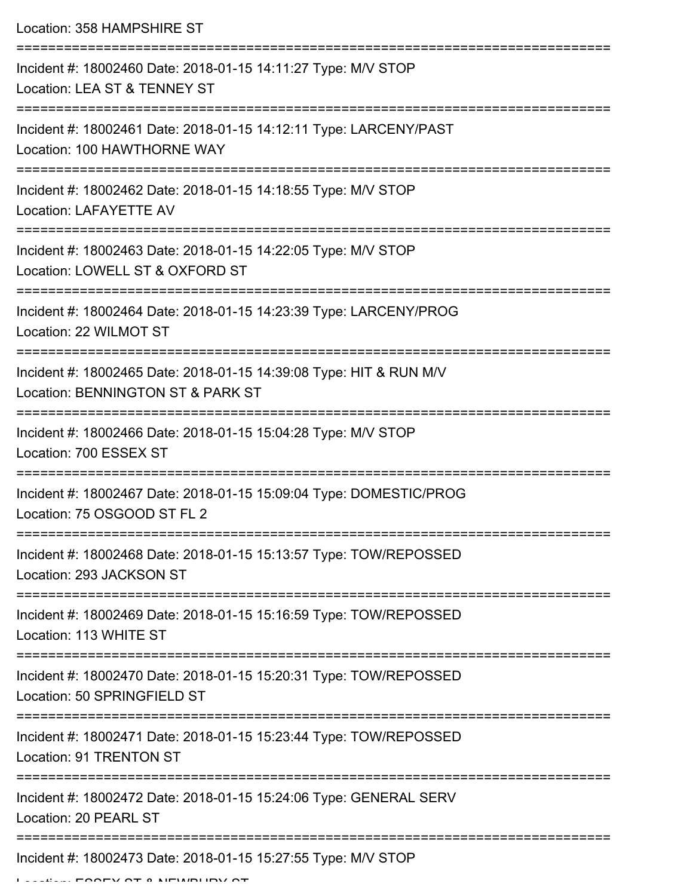Location: 358 HAMPSHIRE ST

| Incident #: 18002460 Date: 2018-01-15 14:11:27 Type: M/V STOP<br>Location: LEA ST & TENNEY ST           |
|---------------------------------------------------------------------------------------------------------|
| Incident #: 18002461 Date: 2018-01-15 14:12:11 Type: LARCENY/PAST<br>Location: 100 HAWTHORNE WAY        |
| Incident #: 18002462 Date: 2018-01-15 14:18:55 Type: M/V STOP<br><b>Location: LAFAYETTE AV</b>          |
| Incident #: 18002463 Date: 2018-01-15 14:22:05 Type: M/V STOP<br>Location: LOWELL ST & OXFORD ST        |
| Incident #: 18002464 Date: 2018-01-15 14:23:39 Type: LARCENY/PROG<br>Location: 22 WILMOT ST             |
| Incident #: 18002465 Date: 2018-01-15 14:39:08 Type: HIT & RUN M/V<br>Location: BENNINGTON ST & PARK ST |
| Incident #: 18002466 Date: 2018-01-15 15:04:28 Type: M/V STOP<br>Location: 700 ESSEX ST                 |
| Incident #: 18002467 Date: 2018-01-15 15:09:04 Type: DOMESTIC/PROG<br>Location: 75 OSGOOD ST FL 2       |
| Incident #: 18002468 Date: 2018-01-15 15:13:57 Type: TOW/REPOSSED<br>Location: 293 JACKSON ST           |
| Incident #: 18002469 Date: 2018-01-15 15:16:59 Type: TOW/REPOSSED<br>Location: 113 WHITE ST             |
| Incident #: 18002470 Date: 2018-01-15 15:20:31 Type: TOW/REPOSSED<br>Location: 50 SPRINGFIELD ST        |
| Incident #: 18002471 Date: 2018-01-15 15:23:44 Type: TOW/REPOSSED<br>Location: 91 TRENTON ST            |
| Incident #: 18002472 Date: 2018-01-15 15:24:06 Type: GENERAL SERV<br>Location: 20 PEARL ST              |
| Incident #: 18002473 Date: 2018-01-15 15:27:55 Type: M/V STOP                                           |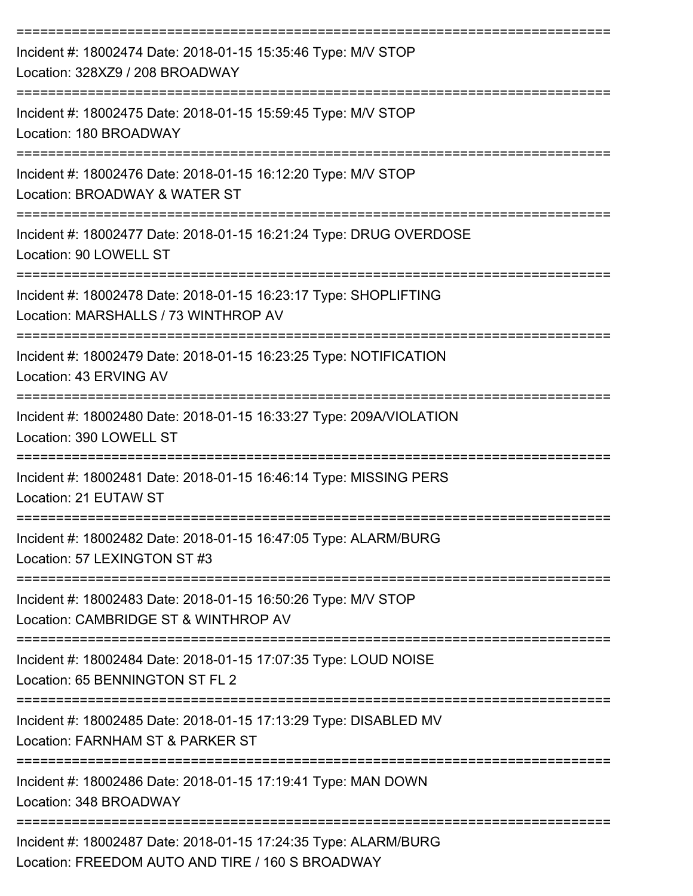| Incident #: 18002474 Date: 2018-01-15 15:35:46 Type: M/V STOP<br>Location: 328XZ9 / 208 BROADWAY                                         |
|------------------------------------------------------------------------------------------------------------------------------------------|
| Incident #: 18002475 Date: 2018-01-15 15:59:45 Type: M/V STOP<br>Location: 180 BROADWAY                                                  |
| Incident #: 18002476 Date: 2018-01-15 16:12:20 Type: M/V STOP<br>Location: BROADWAY & WATER ST                                           |
| Incident #: 18002477 Date: 2018-01-15 16:21:24 Type: DRUG OVERDOSE<br>Location: 90 LOWELL ST                                             |
| Incident #: 18002478 Date: 2018-01-15 16:23:17 Type: SHOPLIFTING<br>Location: MARSHALLS / 73 WINTHROP AV                                 |
| Incident #: 18002479 Date: 2018-01-15 16:23:25 Type: NOTIFICATION<br>Location: 43 ERVING AV                                              |
| Incident #: 18002480 Date: 2018-01-15 16:33:27 Type: 209A/VIOLATION<br>Location: 390 LOWELL ST                                           |
| Incident #: 18002481 Date: 2018-01-15 16:46:14 Type: MISSING PERS<br>Location: 21 EUTAW ST                                               |
| Incident #: 18002482 Date: 2018-01-15 16:47:05 Type: ALARM/BURG<br>Location: 57 LEXINGTON ST #3                                          |
| ===============================<br>Incident #: 18002483 Date: 2018-01-15 16:50:26 Type: M/V STOP<br>Location: CAMBRIDGE ST & WINTHROP AV |
| Incident #: 18002484 Date: 2018-01-15 17:07:35 Type: LOUD NOISE<br>Location: 65 BENNINGTON ST FL 2                                       |
| =============================<br>Incident #: 18002485 Date: 2018-01-15 17:13:29 Type: DISABLED MV<br>Location: FARNHAM ST & PARKER ST    |
| Incident #: 18002486 Date: 2018-01-15 17:19:41 Type: MAN DOWN<br>Location: 348 BROADWAY                                                  |
| Incident #: 18002487 Date: 2018-01-15 17:24:35 Type: ALARM/BURG<br>Location: FREEDOM AUTO AND TIRE / 160 S BROADWAY                      |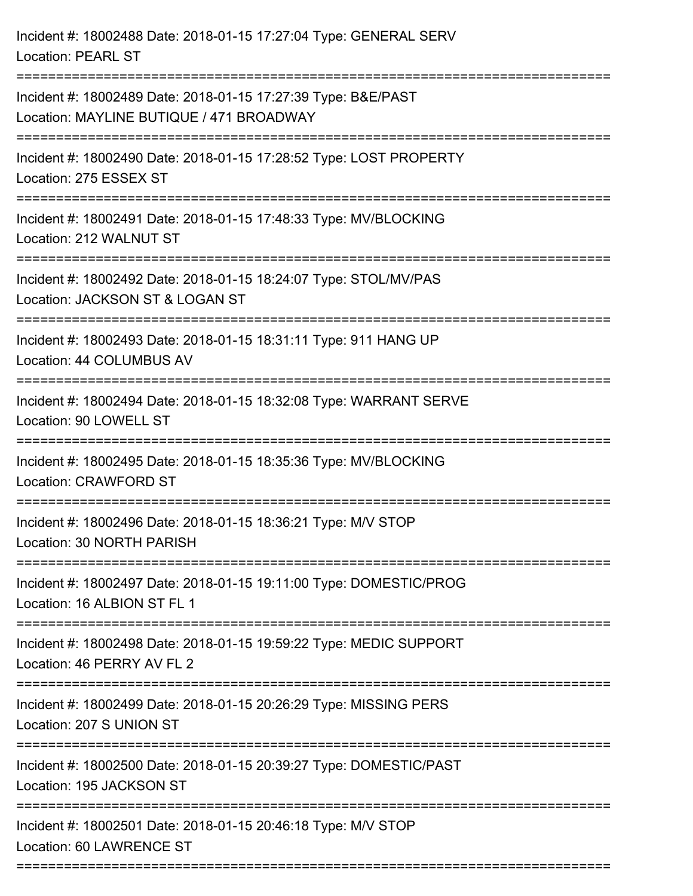| Incident #: 18002488 Date: 2018-01-15 17:27:04 Type: GENERAL SERV<br><b>Location: PEARL ST</b>                              |
|-----------------------------------------------------------------------------------------------------------------------------|
| Incident #: 18002489 Date: 2018-01-15 17:27:39 Type: B&E/PAST<br>Location: MAYLINE BUTIQUE / 471 BROADWAY                   |
| Incident #: 18002490 Date: 2018-01-15 17:28:52 Type: LOST PROPERTY<br>Location: 275 ESSEX ST                                |
| Incident #: 18002491 Date: 2018-01-15 17:48:33 Type: MV/BLOCKING<br>Location: 212 WALNUT ST                                 |
| Incident #: 18002492 Date: 2018-01-15 18:24:07 Type: STOL/MV/PAS<br>Location: JACKSON ST & LOGAN ST                         |
| Incident #: 18002493 Date: 2018-01-15 18:31:11 Type: 911 HANG UP<br>Location: 44 COLUMBUS AV<br>=========================== |
| Incident #: 18002494 Date: 2018-01-15 18:32:08 Type: WARRANT SERVE<br>Location: 90 LOWELL ST                                |
| Incident #: 18002495 Date: 2018-01-15 18:35:36 Type: MV/BLOCKING<br>Location: CRAWFORD ST                                   |
| Incident #: 18002496 Date: 2018-01-15 18:36:21 Type: M/V STOP<br>Location: 30 NORTH PARISH                                  |
| Incident #: 18002497 Date: 2018-01-15 19:11:00 Type: DOMESTIC/PROG<br>Location: 16 ALBION ST FL 1                           |
| Incident #: 18002498 Date: 2018-01-15 19:59:22 Type: MEDIC SUPPORT<br>Location: 46 PERRY AV FL 2                            |
| Incident #: 18002499 Date: 2018-01-15 20:26:29 Type: MISSING PERS<br>Location: 207 S UNION ST                               |
| Incident #: 18002500 Date: 2018-01-15 20:39:27 Type: DOMESTIC/PAST<br>Location: 195 JACKSON ST                              |
| Incident #: 18002501 Date: 2018-01-15 20:46:18 Type: M/V STOP<br>Location: 60 LAWRENCE ST                                   |
|                                                                                                                             |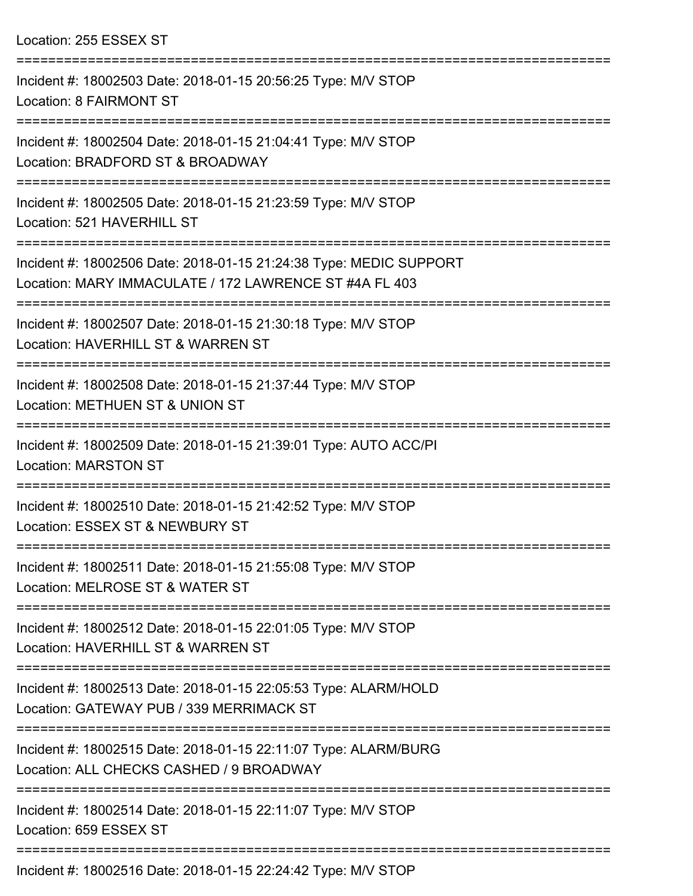Location: 255 ESSEX ST

| Incident #: 18002503 Date: 2018-01-15 20:56:25 Type: M/V STOP<br>Location: 8 FAIRMONT ST                                     |
|------------------------------------------------------------------------------------------------------------------------------|
| Incident #: 18002504 Date: 2018-01-15 21:04:41 Type: M/V STOP<br>Location: BRADFORD ST & BROADWAY                            |
| Incident #: 18002505 Date: 2018-01-15 21:23:59 Type: M/V STOP<br>Location: 521 HAVERHILL ST                                  |
| Incident #: 18002506 Date: 2018-01-15 21:24:38 Type: MEDIC SUPPORT<br>Location: MARY IMMACULATE / 172 LAWRENCE ST #4A FL 403 |
| Incident #: 18002507 Date: 2018-01-15 21:30:18 Type: M/V STOP<br>Location: HAVERHILL ST & WARREN ST                          |
| Incident #: 18002508 Date: 2018-01-15 21:37:44 Type: M/V STOP<br>Location: METHUEN ST & UNION ST                             |
| Incident #: 18002509 Date: 2018-01-15 21:39:01 Type: AUTO ACC/PI<br><b>Location: MARSTON ST</b>                              |
| Incident #: 18002510 Date: 2018-01-15 21:42:52 Type: M/V STOP<br>Location: ESSEX ST & NEWBURY ST                             |
| Incident #: 18002511 Date: 2018-01-15 21:55:08 Type: M/V STOP<br>Location: MELROSE ST & WATER ST                             |
| Incident #: 18002512 Date: 2018-01-15 22:01:05 Type: M/V STOP<br>Location: HAVERHILL ST & WARREN ST                          |
| Incident #: 18002513 Date: 2018-01-15 22:05:53 Type: ALARM/HOLD<br>Location: GATEWAY PUB / 339 MERRIMACK ST                  |
| Incident #: 18002515 Date: 2018-01-15 22:11:07 Type: ALARM/BURG<br>Location: ALL CHECKS CASHED / 9 BROADWAY                  |
| Incident #: 18002514 Date: 2018-01-15 22:11:07 Type: M/V STOP<br>Location: 659 ESSEX ST                                      |
| Incident #: 18002516 Date: 2018-01-15 22:24:42 Type: M/V STOP                                                                |